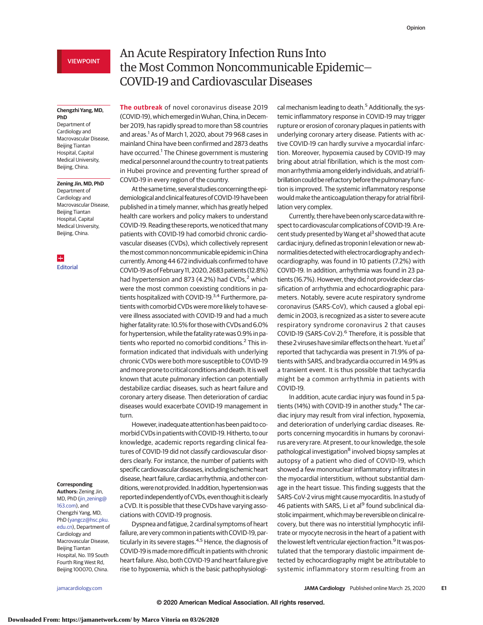## VIEWPOINT

### **Chengzhi Yang, MD, PhD**

Department of Cardiology and Macrovascular Disease, Beijing Tiantan Hospital, Capital Medical University, Beijing, China.

**Zening Jin, MD, PhD** Department of

Cardiology and Macrovascular Disease, Beijing Tiantan Hospital, Capital Medical University, Beijing, China.

H **[Editorial](https://jamanetwork.com/journals/jama/fullarticle/10.1001/jamacardio.2020.1105?utm_campaign=articlePDF%26utm_medium=articlePDFlink%26utm_source=articlePDF%26utm_content=jamacardio.2020.0934)** 

### **Corresponding**

**Authors:** Zening Jin, MD, PhD (iin zening@ [163.com\)](mailto:jin_zening@163.com), and Chengzhi Yang, MD, PhD [\(yangcz@hsc.pku.](mailto:yangcz@hsc.pku.edu.cn) [edu.cn\)](mailto:yangcz@hsc.pku.edu.cn), Department of Cardiology and Macrovascular Disease, Beijing Tiantan Hospital, No. 119 South Fourth Ring West Rd, Beijing 100070, China.

# An Acute Respiratory Infection Runs Into the Most Common Noncommunicable Epidemic— COVID-19 and Cardiovascular Diseases

**The outbreak** of novel coronavirus disease 2019 (COVID-19), which emerged in Wuhan, China, in December 2019, has rapidly spread to more than 58 countries and areas.<sup>1</sup> As of March 1, 2020, about 79 968 cases in mainland China have been confirmed and 2873 deaths have occurred.<sup>1</sup> The Chinese government is mustering medical personnel around the country to treat patients in Hubei province and preventing further spread of COVID-19 in every region of the country.

At the same time, several studies concerning the epidemiological and clinical features of COVID-19 have been published in a timely manner, which has greatly helped health care workers and policy makers to understand COVID-19. Reading these reports, we noticed that many patients with COVID-19 had comorbid chronic cardiovascular diseases (CVDs), which collectively represent themost common noncommunicable epidemic in China currently. Among 44 672 individuals confirmed to have COVID-19 as of February 11, 2020, 2683 patients (12.8%) had hypertension and 873 (4.2%) had CVDs, $<sup>2</sup>$  which</sup> were the most common coexisting conditions in patients hospitalized with COVID-19.<sup>3,4</sup> Furthermore, patients with comorbid CVDs were more likely to have severe illness associated with COVID-19 and had a much higher fatality rate: 10.5% for those with CVDs and 6.0% for hypertension, while the fatality rate was 0.9% in patients who reported no comorbid conditions.<sup>2</sup> This information indicated that individuals with underlying chronic CVDs were both more susceptible to COVID-19 andmore prone to critical conditions and death. It is well known that acute pulmonary infection can potentially destabilize cardiac diseases, such as heart failure and coronary artery disease. Then deterioration of cardiac diseases would exacerbate COVID-19 management in turn.

However, inadequate attention has been paid to comorbid CVDs in patients with COVID-19. Hitherto, to our knowledge, academic reports regarding clinical features of COVID-19 did not classify cardiovascular disorders clearly. For instance, the number of patients with specific cardiovascular diseases, including ischemic heart disease, heart failure, cardiac arrhythmia, and other conditions, were not provided. In addition, hypertension was reported independently of CVDs, even though it is clearly a CVD. It is possible that these CVDs have varying associations with COVID-19 prognosis.

Dyspnea and fatigue, 2 cardinal symptoms of heart failure, are very common in patients with COVID-19, particularly in its severe stages.<sup>4,5</sup> Hence, the diagnosis of COVID-19 is made more difficult in patients with chronic heart failure. Also, both COVID-19 and heart failure give rise to hypoxemia, which is the basic pathophysiological mechanism leading to death.<sup>5</sup> Additionally, the systemic inflammatory response in COVID-19 may trigger rupture or erosion of coronary plaques in patients with underlying coronary artery disease. Patients with active COVID-19 can hardly survive a myocardial infarction. Moreover, hypoxemia caused by COVID-19 may bring about atrial fibrillation, which is the most common arrhythmia among elderly individuals, and atrial fibrillation could be refractory before the pulmonary function is improved. The systemic inflammatory response would make the anticoagulation therapy for atrial fibrillation very complex.

Currently, there have been only scarce data with respect to cardiovascular complications of COVID-19. A recent study presented by Wang et al<sup>3</sup> showed that acute cardiac injury, defined as troponin I elevation or new abnormalities detected with electrocardiography and echocardiography, was found in 10 patients (7.2%) with COVID-19. In addition, arrhythmia was found in 23 patients (16.7%). However, they did not provide clear classification of arrhythmia and echocardiographic parameters. Notably, severe acute respiratory syndrome coronavirus (SARS-CoV), which caused a global epidemic in 2003, is recognized as a sister to severe acute respiratory syndrome coronavirus 2 that causes COVID-19 (SARS-CoV-2).<sup>6</sup> Therefore, it is possible that these 2 viruses have similar effects on the heart. Yu et al<sup>7</sup> reported that tachycardia was present in 71.9% of patients with SARS, and bradycardia occurred in 14.9% as a transient event. It is thus possible that tachycardia might be a common arrhythmia in patients with COVID-19.

In addition, acute cardiac injury was found in 5 patients (14%) with COVID-19 in another study.<sup>4</sup> The cardiac injury may result from viral infection, hypoxemia, and deterioration of underlying cardiac diseases. Reports concerning myocarditis in humans by coronavirus are very rare. At present, to our knowledge, the sole pathological investigation<sup>8</sup> involved biopsy samples at autopsy of a patient who died of COVID-19, which showed a few mononuclear inflammatory infiltrates in the myocardial interstitium, without substantial damage in the heart tissue. This finding suggests that the SARS-CoV-2 virus might cause myocarditis. In a study of 46 patients with SARS, Li et al<sup>9</sup> found subclinical diastolic impairment, which may be reversible on clinical recovery, but there was no interstitial lymphocytic infiltrate or myocyte necrosis in the heart of a patient with the lowest left ventricular ejection fraction.<sup>9</sup> It was postulated that the temporary diastolic impairment detected by echocardiography might be attributable to systemic inflammatory storm resulting from an